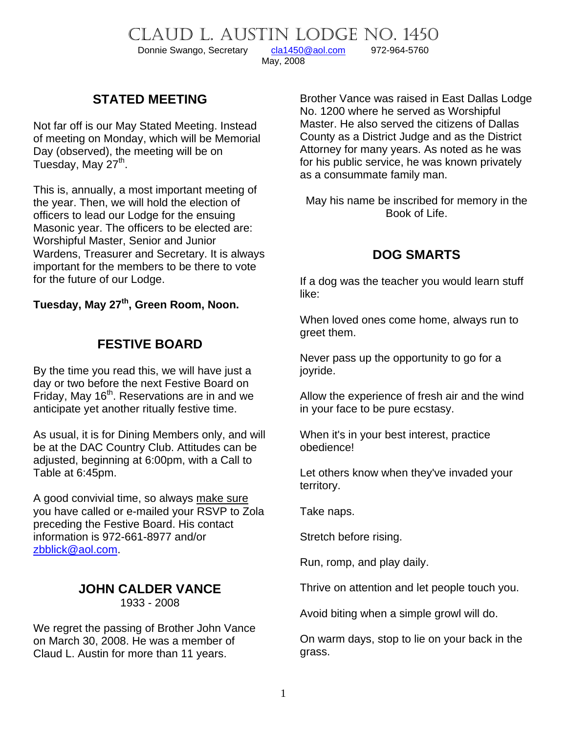CLAUD L. AUSTIN LODGE NO. 1450

Donnie Swango, Secretary [cla1450@aol.com](mailto:cla1450@aol.com) 972-964-5760

May, 2008

### **STATED MEETING**

Not far off is our May Stated Meeting. Instead of meeting on Monday, which will be Memorial Day (observed), the meeting will be on Tuesday, May 27<sup>th</sup>.

This is, annually, a most important meeting of the year. Then, we will hold the election of officers to lead our Lodge for the ensuing Masonic year. The officers to be elected are: Worshipful Master, Senior and Junior Wardens, Treasurer and Secretary. It is always important for the members to be there to vote for the future of our Lodge.

Tuesday, May 27<sup>th</sup>, Green Room, Noon.

### **FESTIVE BOARD**

By the time you read this, we will have just a day or two before the next Festive Board on Friday, May 16<sup>th</sup>. Reservations are in and we anticipate yet another ritually festive time.

As usual, it is for Dining Members only, and will be at the DAC Country Club. Attitudes can be adjusted, beginning at 6:00pm, with a Call to Table at 6:45pm.

A good convivial time, so always make sure you have called or e-mailed your RSVP to Zola preceding the Festive Board. His contact information is 972-661-8977 and/or [zbblick@aol.com.](mailto:zbblick@aol.com)

## **JOHN CALDER VANCE**

1933 - 2008

We regret the passing of Brother John Vance on March 30, 2008. He was a member of Claud L. Austin for more than 11 years.

Brother Vance was raised in East Dallas Lodge No. 1200 where he served as Worshipful Master. He also served the citizens of Dallas County as a District Judge and as the District Attorney for many years. As noted as he was for his public service, he was known privately as a consummate family man.

May his name be inscribed for memory in the Book of Life.

## **DOG SMARTS**

If a dog was the teacher you would learn stuff like:

When loved ones come home, always run to greet them.

Never pass up the opportunity to go for a joyride.

Allow the experience of fresh air and the wind in your face to be pure ecstasy.

When it's in your best interest, practice obedience!

Let others know when they've invaded your territory.

Take naps.

Stretch before rising.

Run, romp, and play daily.

Thrive on attention and let people touch you.

Avoid biting when a simple growl will do.

On warm days, stop to lie on your back in the grass.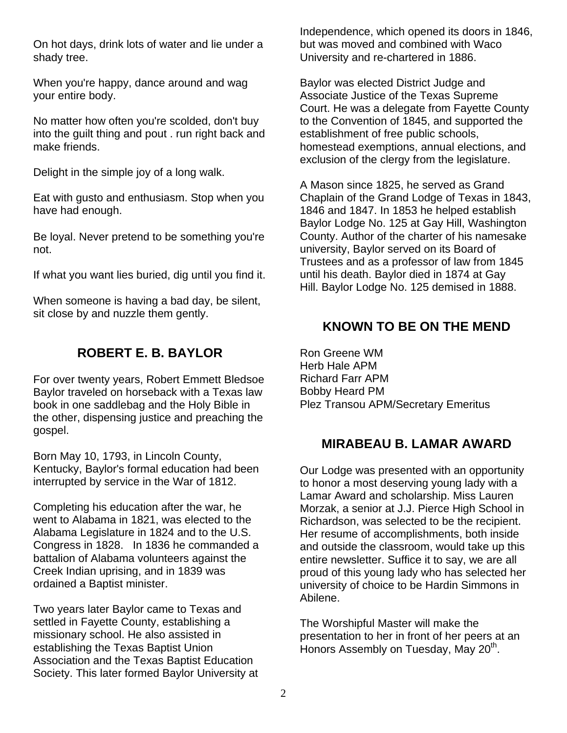On hot days, drink lots of water and lie under a shady tree.

When you're happy, dance around and wag your entire body.

No matter how often you're scolded, don't buy into the guilt thing and pout . run right back and make friends.

Delight in the simple joy of a long walk.

Eat with gusto and enthusiasm. Stop when you have had enough.

Be loyal. Never pretend to be something you're not.

If what you want lies buried, dig until you find it.

When someone is having a bad day, be silent, sit close by and nuzzle them gently.

#### **ROBERT E. B. BAYLOR**

For over twenty years, Robert Emmett Bledsoe Baylor traveled on horseback with a Texas law book in one saddlebag and the Holy Bible in the other, dispensing justice and preaching the gospel.

Born May 10, 1793, in Lincoln County, Kentucky, Baylor's formal education had been interrupted by service in the War of 1812.

Completing his education after the war, he went to Alabama in 1821, was elected to the Alabama Legislature in 1824 and to the U.S. Congress in 1828. In 1836 he commanded a battalion of Alabama volunteers against the Creek Indian uprising, and in 1839 was ordained a Baptist minister.

Two years later Baylor came to Texas and settled in Fayette County, establishing a missionary school. He also assisted in establishing the Texas Baptist Union Association and the Texas Baptist Education Society. This later formed Baylor University at Independence, which opened its doors in 1846, but was moved and combined with Waco University and re-chartered in 1886.

Baylor was elected District Judge and Associate Justice of the Texas Supreme Court. He was a delegate from Fayette County to the Convention of 1845, and supported the establishment of free public schools, homestead exemptions, annual elections, and exclusion of the clergy from the legislature.

A Mason since 1825, he served as Grand Chaplain of the Grand Lodge of Texas in 1843, 1846 and 1847. In 1853 he helped establish Baylor Lodge No. 125 at Gay Hill, Washington County. Author of the charter of his namesake university, Baylor served on its Board of Trustees and as a professor of law from 1845 until his death. Baylor died in 1874 at Gay Hill. Baylor Lodge No. 125 demised in 1888.

#### **KNOWN TO BE ON THE MEND**

Ron Greene WM Herb Hale APM Richard Farr APM Bobby Heard PM Plez Transou APM/Secretary Emeritus

#### **MIRABEAU B. LAMAR AWARD**

Our Lodge was presented with an opportunity to honor a most deserving young lady with a Lamar Award and scholarship. Miss Lauren Morzak, a senior at J.J. Pierce High School in Richardson, was selected to be the recipient. Her resume of accomplishments, both inside and outside the classroom, would take up this entire newsletter. Suffice it to say, we are all proud of this young lady who has selected her university of choice to be Hardin Simmons in Abilene.

The Worshipful Master will make the presentation to her in front of her peers at an Honors Assembly on Tuesday, May 20<sup>th</sup>.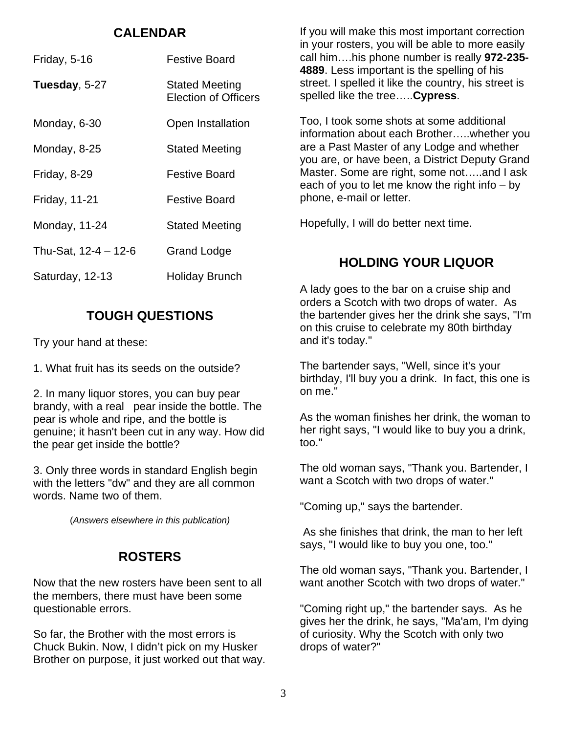#### **CALENDAR**

| Friday, 5-16           | <b>Festive Board</b>                                 |
|------------------------|------------------------------------------------------|
| Tuesday, 5-27          | <b>Stated Meeting</b><br><b>Election of Officers</b> |
| Monday, 6-30           | Open Installation                                    |
| Monday, 8-25           | <b>Stated Meeting</b>                                |
| Friday, 8-29           | <b>Festive Board</b>                                 |
| <b>Friday, 11-21</b>   | <b>Festive Board</b>                                 |
| Monday, 11-24          | <b>Stated Meeting</b>                                |
| Thu-Sat, $12-4 - 12-6$ | <b>Grand Lodge</b>                                   |
| Saturday, 12-13        | Holiday Brunch                                       |

### **TOUGH QUESTIONS**

Try your hand at these:

1. What fruit has its seeds on the outside?

2. In many liquor stores, you can buy pear brandy, with a real pear inside the bottle. The pear is whole and ripe, and the bottle is genuine; it hasn't been cut in any way. How did the pear get inside the bottle?

3. Only three words in standard English begin with the letters "dw" and they are all common words. Name two of them.

(*Answers elsewhere in this publication)*

## **ROSTERS**

Now that the new rosters have been sent to all the members, there must have been some questionable errors.

So far, the Brother with the most errors is Chuck Bukin. Now, I didn't pick on my Husker Brother on purpose, it just worked out that way. If you will make this most important correction in your rosters, you will be able to more easily call him….his phone number is really **972-235- 4889**. Less important is the spelling of his street. I spelled it like the country, his street is spelled like the tree…..**Cypress**.

Too, I took some shots at some additional information about each Brother…..whether you are a Past Master of any Lodge and whether you are, or have been, a District Deputy Grand Master. Some are right, some not…..and I ask each of you to let me know the right info – by phone, e-mail or letter.

Hopefully, I will do better next time.

## **HOLDING YOUR LIQUOR**

A lady goes to the bar on a cruise ship and orders a Scotch with two drops of water. As the bartender gives her the drink she says, "I'm on this cruise to celebrate my 80th birthday and it's today."

The bartender says, "Well, since it's your birthday, I'll buy you a drink. In fact, this one is on me."

As the woman finishes her drink, the woman to her right says, "I would like to buy you a drink, too."

The old woman says, "Thank you. Bartender, I want a Scotch with two drops of water."

"Coming up," says the bartender.

 As she finishes that drink, the man to her left says, "I would like to buy you one, too."

The old woman says, "Thank you. Bartender, I want another Scotch with two drops of water."

"Coming right up," the bartender says. As he gives her the drink, he says, "Ma'am, I'm dying of curiosity. Why the Scotch with only two drops of water?"